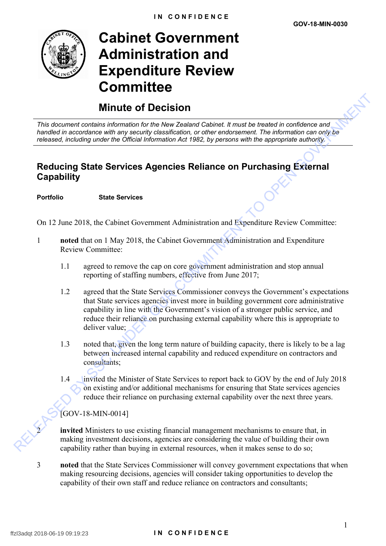

# **Cabinet Government Administration and Expenditure Review Committee**

# **Minute of Decision**

*This document contains information for the New Zealand Cabinet. It must be treated in confidence and handled in accordance with any security classification, or other endorsement. The information can only be released, including under the Official Information Act 1982, by persons with the appropriate authority.*

## **Reducing State Services Agencies Reliance on Purchasing External Capability**

### **Portfolio State Services**

On 12 June 2018, the Cabinet Government Administration and Expenditure Review Committee:

- 1 **noted** that on 1 May 2018, the Cabinet Government Administration and Expenditure Review Committee:
	- 1.1 agreed to remove the cap on core government administration and stop annual reporting of staffing numbers, effective from June 2017;
- 1.2 agreed that the State Services Commissioner conveys the Government's expectations that State services agencies invest more in building government core administrative capability in line with the Government's vision of a stronger public service, and reduce their reliance on purchasing external capability where this is appropriate to deliver value; **Minute of Decision**<br>
This document contains information for the New Zealand Cabinet. It multi-the treated in conditions can contain<br>
the measure of the New Zealand Cabinet I. The information of the state of the contained
	- 1.3 noted that, given the long term nature of building capacity, there is likely to be a lag between increased internal capability and reduced expenditure on contractors and consultants;
	- 1.4 invited the Minister of State Services to report back to GOV by the end of July 2018 on existing and/or additional mechanisms for ensuring that State services agencies reduce their reliance on purchasing external capability over the next three years.

[GOV-18-MIN-0014]

**invited** Ministers to use existing financial management mechanisms to ensure that, in making investment decisions, agencies are considering the value of building their own capability rather than buying in external resources, when it makes sense to do so;

3 **noted** that the State Services Commissioner will convey government expectations that when making resourcing decisions, agencies will consider taking opportunities to develop the capability of their own staff and reduce reliance on contractors and consultants;